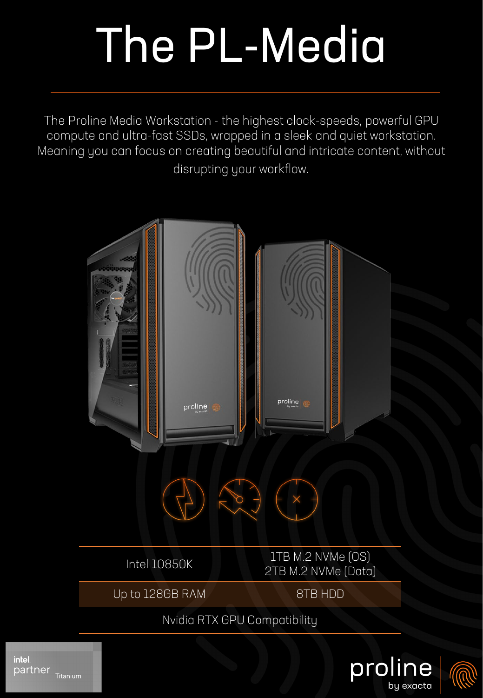## The PL-Media

The Proline Media Workstation - the highest clock-speeds, powerful GPU compute and ultra-fast SSDs, wrapped in a sleek and quiet workstation. Meaning you can focus on creating beautiful and intricate content, without disrupting your workflow.